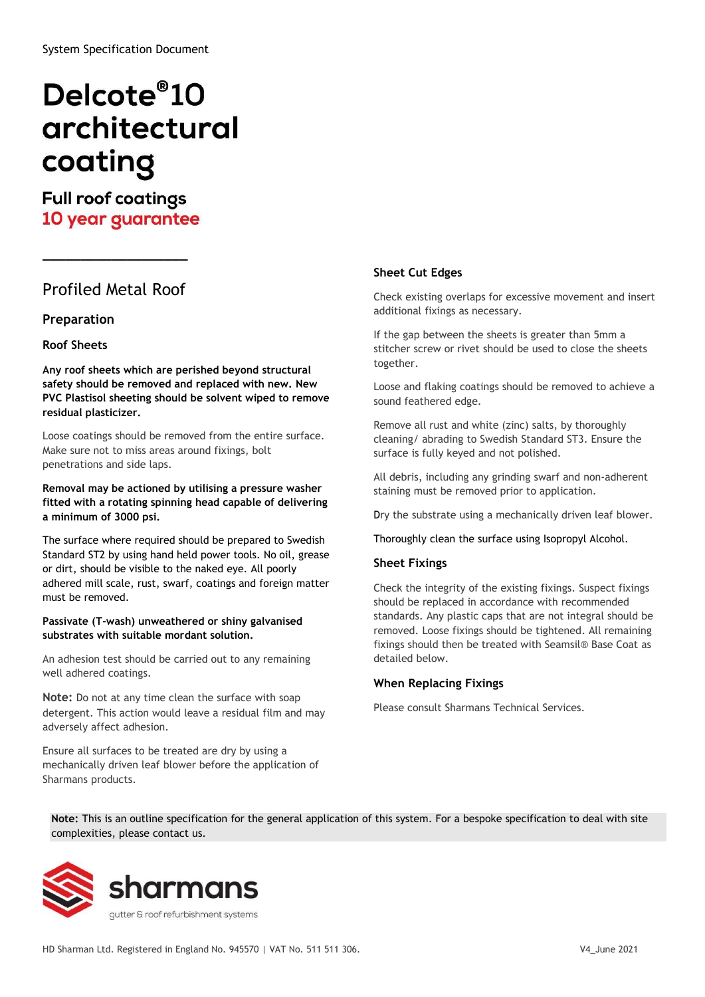# Delcote<sup>®</sup>10 architectural coating

# **Full roof coatings** 10 year guarantee

# Profiled Metal Roof

 $\overline{\phantom{a}}$  , where  $\overline{\phantom{a}}$  , where  $\overline{\phantom{a}}$  , where  $\overline{\phantom{a}}$  , where  $\overline{\phantom{a}}$ 

## Preparation

#### Roof Sheets

Any roof sheets which are perished beyond structural safety should be removed and replaced with new. New PVC Plastisol sheeting should be solvent wiped to remove residual plasticizer.

Loose coatings should be removed from the entire surface. Make sure not to miss areas around fixings, bolt penetrations and side laps.

#### Removal may be actioned by utilising a pressure washer fitted with a rotating spinning head capable of delivering a minimum of 3000 psi.

The surface where required should be prepared to Swedish Standard ST2 by using hand held power tools. No oil, grease or dirt, should be visible to the naked eye. All poorly adhered mill scale, rust, swarf, coatings and foreign matter must be removed.

#### Passivate (T-wash) unweathered or shiny galvanised substrates with suitable mordant solution.

An adhesion test should be carried out to any remaining well adhered coatings.

Note: Do not at any time clean the surface with soap detergent. This action would leave a residual film and may adversely affect adhesion.

Ensure all surfaces to be treated are dry by using a mechanically driven leaf blower before the application of Sharmans products.

## Sheet Cut Edges

Check existing overlaps for excessive movement and insert additional fixings as necessary.

If the gap between the sheets is greater than 5mm a stitcher screw or rivet should be used to close the sheets together.

Loose and flaking coatings should be removed to achieve a sound feathered edge.

Remove all rust and white (zinc) salts, by thoroughly cleaning/ abrading to Swedish Standard ST3. Ensure the surface is fully keyed and not polished.

All debris, including any grinding swarf and non-adherent staining must be removed prior to application.

Dry the substrate using a mechanically driven leaf blower.

#### Thoroughly clean the surface using Isopropyl Alcohol.

#### Sheet Fixings

Check the integrity of the existing fixings. Suspect fixings should be replaced in accordance with recommended standards. Any plastic caps that are not integral should be removed. Loose fixings should be tightened. All remaining fixings should then be treated with Seamsil® Base Coat as detailed below.

#### When Replacing Fixings

Please consult Sharmans Technical Services.

Note: This is an outline specification for the general application of this system. For a bespoke specification to deal with site complexities, please contact us.

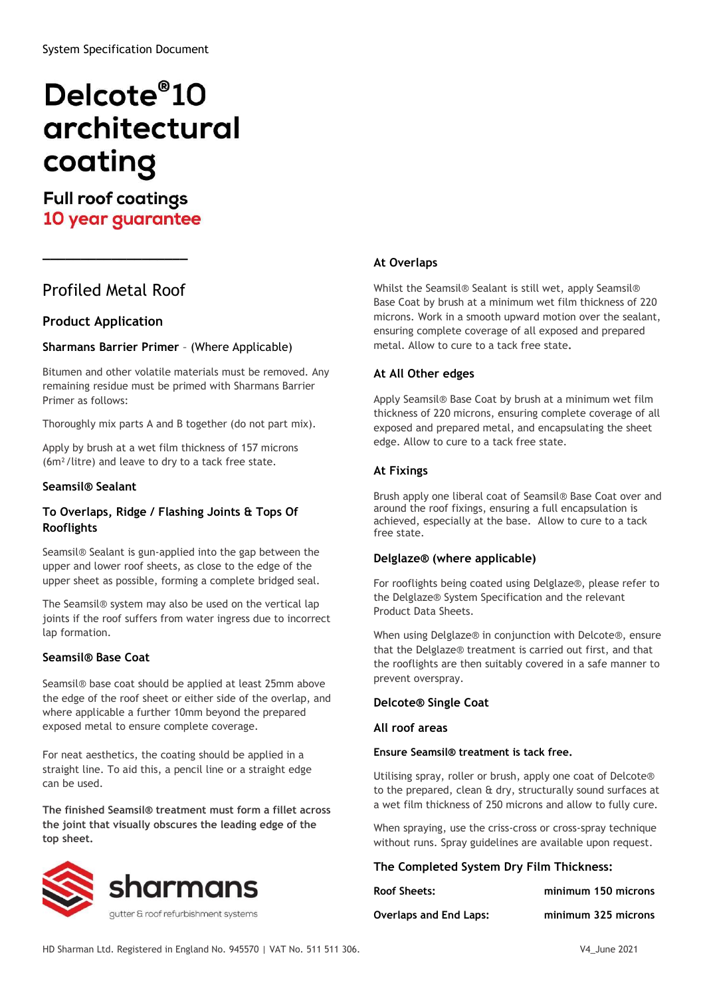# Delcote<sup>®</sup>10 architectural coating

# **Full roof coatings** 10 year guarantee

## Profiled Metal Roof

 $\overline{\phantom{a}}$  . The contract of the contract of the contract of the contract of the contract of the contract of the contract of the contract of the contract of the contract of the contract of the contract of the contract of

## Product Application

## Sharmans Barrier Primer – (Where Applicable)

Bitumen and other volatile materials must be removed. Any remaining residue must be primed with Sharmans Barrier Primer as follows:

Thoroughly mix parts A and B together (do not part mix).

Apply by brush at a wet film thickness of 157 microns (6m²/litre) and leave to dry to a tack free state.

#### Seamsil® Sealant

## To Overlaps, Ridge / Flashing Joints & Tops Of Rooflights

Seamsil® Sealant is gun-applied into the gap between the upper and lower roof sheets, as close to the edge of the upper sheet as possible, forming a complete bridged seal.

The Seamsil® system may also be used on the vertical lap joints if the roof suffers from water ingress due to incorrect lap formation.

#### Seamsil® Base Coat

Seamsil® base coat should be applied at least 25mm above the edge of the roof sheet or either side of the overlap, and where applicable a further 10mm beyond the prepared exposed metal to ensure complete coverage.

For neat aesthetics, the coating should be applied in a straight line. To aid this, a pencil line or a straight edge can be used.

The finished Seamsil® treatment must form a fillet across the joint that visually obscures the leading edge of the top sheet.



## At Overlaps

Whilst the Seamsil® Sealant is still wet, apply Seamsil® Base Coat by brush at a minimum wet film thickness of 220 microns. Work in a smooth upward motion over the sealant, ensuring complete coverage of all exposed and prepared metal. Allow to cure to a tack free state.

#### At All Other edges

Apply Seamsil® Base Coat by brush at a minimum wet film thickness of 220 microns, ensuring complete coverage of all exposed and prepared metal, and encapsulating the sheet edge. Allow to cure to a tack free state.

## At Fixings

Brush apply one liberal coat of Seamsil® Base Coat over and around the roof fixings, ensuring a full encapsulation is achieved, especially at the base. Allow to cure to a tack free state.

#### Delglaze® (where applicable)

For rooflights being coated using Delglaze®, please refer to the Delglaze® System Specification and the relevant Product Data Sheets.

When using Delglaze® in conjunction with Delcote®, ensure that the Delglaze® treatment is carried out first, and that the rooflights are then suitably covered in a safe manner to prevent overspray.

#### Delcote® Single Coat

#### All roof areas

#### Ensure Seamsil® treatment is tack free.

Utilising spray, roller or brush, apply one coat of Delcote® to the prepared, clean & dry, structurally sound surfaces at a wet film thickness of 250 microns and allow to fully cure.

When spraying, use the criss-cross or cross-spray technique without runs. Spray guidelines are available upon request.

#### The Completed System Dry Film Thickness:

| <b>Roof Sheets:</b>           | minimum 150 microns |
|-------------------------------|---------------------|
| <b>Overlaps and End Laps:</b> | minimum 325 microns |